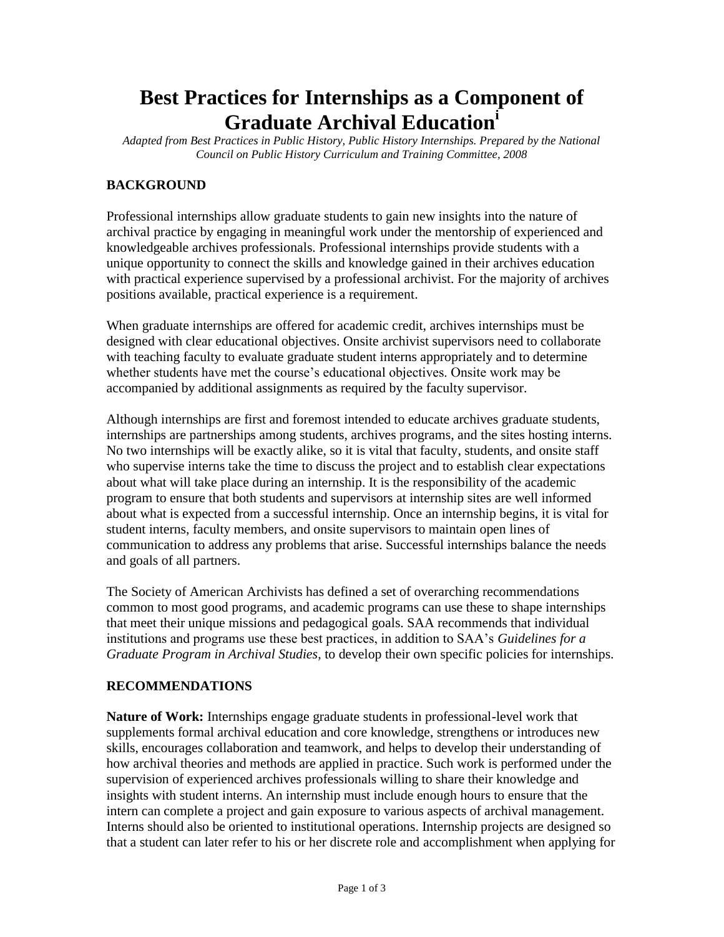## **Best Practices for Internships as a Component of Graduate Archival Education<sup>i</sup>**

*Adapted from Best Practices in Public History, Public History Internships. Prepared by the National Council on Public History Curriculum and Training Committee, 2008* 

## **BACKGROUND**

Professional internships allow graduate students to gain new insights into the nature of archival practice by engaging in meaningful work under the mentorship of experienced and knowledgeable archives professionals. Professional internships provide students with a unique opportunity to connect the skills and knowledge gained in their archives education with practical experience supervised by a professional archivist. For the majority of archives positions available, practical experience is a requirement.

When graduate internships are offered for academic credit, archives internships must be designed with clear educational objectives. Onsite archivist supervisors need to collaborate with teaching faculty to evaluate graduate student interns appropriately and to determine whether students have met the course's educational objectives. Onsite work may be accompanied by additional assignments as required by the faculty supervisor.

Although internships are first and foremost intended to educate archives graduate students, internships are partnerships among students, archives programs, and the sites hosting interns. No two internships will be exactly alike, so it is vital that faculty, students, and onsite staff who supervise interns take the time to discuss the project and to establish clear expectations about what will take place during an internship. It is the responsibility of the academic program to ensure that both students and supervisors at internship sites are well informed about what is expected from a successful internship. Once an internship begins, it is vital for student interns, faculty members, and onsite supervisors to maintain open lines of communication to address any problems that arise. Successful internships balance the needs and goals of all partners.

The Society of American Archivists has defined a set of overarching recommendations common to most good programs, and academic programs can use these to shape internships that meet their unique missions and pedagogical goals. SAA recommends that individual institutions and programs use these best practices, in addition to SAA's *Guidelines for a Graduate Program in Archival Studies*, to develop their own specific policies for internships.

## **RECOMMENDATIONS**

**Nature of Work:** Internships engage graduate students in professional-level work that supplements formal archival education and core knowledge, strengthens or introduces new skills, encourages collaboration and teamwork, and helps to develop their understanding of how archival theories and methods are applied in practice. Such work is performed under the supervision of experienced archives professionals willing to share their knowledge and insights with student interns. An internship must include enough hours to ensure that the intern can complete a project and gain exposure to various aspects of archival management. Interns should also be oriented to institutional operations. Internship projects are designed so that a student can later refer to his or her discrete role and accomplishment when applying for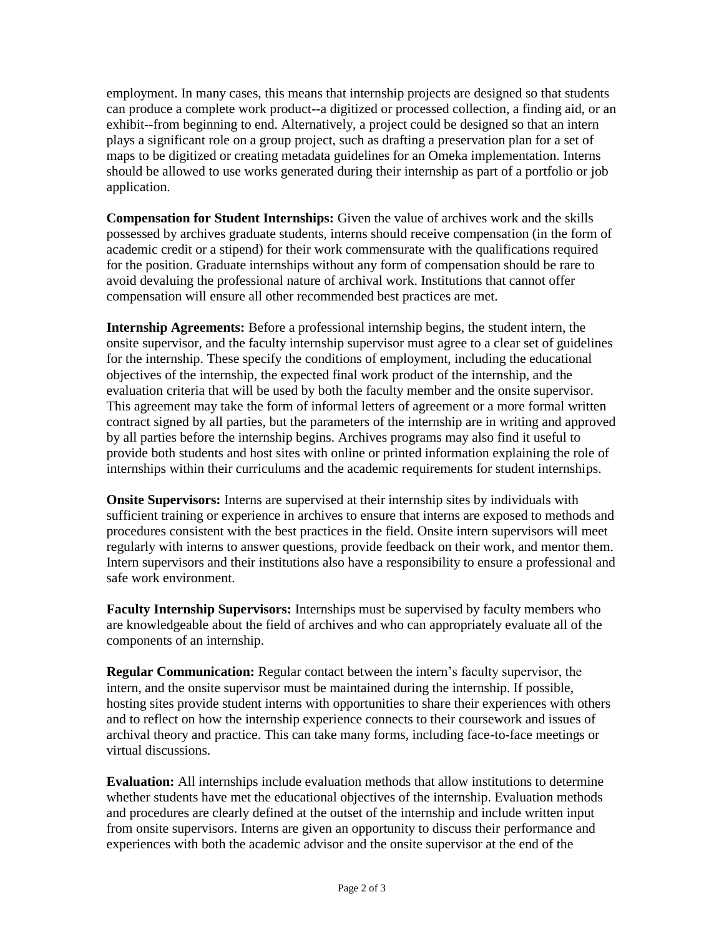employment. In many cases, this means that internship projects are designed so that students can produce a complete work product--a digitized or processed collection, a finding aid, or an exhibit--from beginning to end. Alternatively, a project could be designed so that an intern plays a significant role on a group project, such as drafting a preservation plan for a set of maps to be digitized or creating metadata guidelines for an Omeka implementation. Interns should be allowed to use works generated during their internship as part of a portfolio or job application.

**Compensation for Student Internships:** Given the value of archives work and the skills possessed by archives graduate students, interns should receive compensation (in the form of academic credit or a stipend) for their work commensurate with the qualifications required for the position. Graduate internships without any form of compensation should be rare to avoid devaluing the professional nature of archival work. Institutions that cannot offer compensation will ensure all other recommended best practices are met.

**Internship Agreements:** Before a professional internship begins, the student intern, the onsite supervisor, and the faculty internship supervisor must agree to a clear set of guidelines for the internship. These specify the conditions of employment, including the educational objectives of the internship, the expected final work product of the internship, and the evaluation criteria that will be used by both the faculty member and the onsite supervisor. This agreement may take the form of informal letters of agreement or a more formal written contract signed by all parties, but the parameters of the internship are in writing and approved by all parties before the internship begins. Archives programs may also find it useful to provide both students and host sites with online or printed information explaining the role of internships within their curriculums and the academic requirements for student internships.

**Onsite Supervisors:** Interns are supervised at their internship sites by individuals with sufficient training or experience in archives to ensure that interns are exposed to methods and procedures consistent with the best practices in the field. Onsite intern supervisors will meet regularly with interns to answer questions, provide feedback on their work, and mentor them. Intern supervisors and their institutions also have a responsibility to ensure a professional and safe work environment.

**Faculty Internship Supervisors:** Internships must be supervised by faculty members who are knowledgeable about the field of archives and who can appropriately evaluate all of the components of an internship.

**Regular Communication:** Regular contact between the intern's faculty supervisor, the intern, and the onsite supervisor must be maintained during the internship. If possible, hosting sites provide student interns with opportunities to share their experiences with others and to reflect on how the internship experience connects to their coursework and issues of archival theory and practice. This can take many forms, including face-to-face meetings or virtual discussions.

**Evaluation:** All internships include evaluation methods that allow institutions to determine whether students have met the educational objectives of the internship. Evaluation methods and procedures are clearly defined at the outset of the internship and include written input from onsite supervisors. Interns are given an opportunity to discuss their performance and experiences with both the academic advisor and the onsite supervisor at the end of the